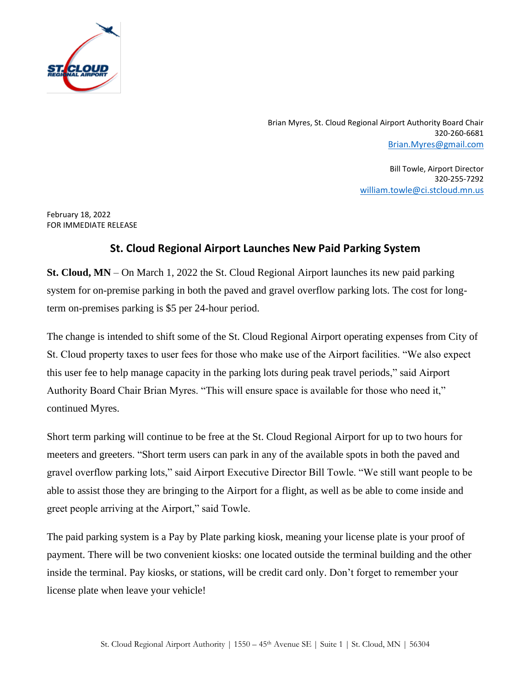

Brian Myres, St. Cloud Regional Airport Authority Board Chair 320-260-6681 [Brian.Myres@gmail.com](mailto:Brian.Myres@gmail.com)

> Bill Towle, Airport Director 320-255-7292 [william.towle@ci.stcloud.mn.us](mailto:william.towle@ci.stcloud.mn.us)

February 18, 2022 FOR IMMEDIATE RELEASE

## **St. Cloud Regional Airport Launches New Paid Parking System**

**St. Cloud, MN** – On March 1, 2022 the St. Cloud Regional Airport launches its new paid parking system for on-premise parking in both the paved and gravel overflow parking lots. The cost for longterm on-premises parking is \$5 per 24-hour period.

The change is intended to shift some of the St. Cloud Regional Airport operating expenses from City of St. Cloud property taxes to user fees for those who make use of the Airport facilities. "We also expect this user fee to help manage capacity in the parking lots during peak travel periods," said Airport Authority Board Chair Brian Myres. "This will ensure space is available for those who need it," continued Myres.

Short term parking will continue to be free at the St. Cloud Regional Airport for up to two hours for meeters and greeters. "Short term users can park in any of the available spots in both the paved and gravel overflow parking lots," said Airport Executive Director Bill Towle. "We still want people to be able to assist those they are bringing to the Airport for a flight, as well as be able to come inside and greet people arriving at the Airport," said Towle.

The paid parking system is a Pay by Plate parking kiosk, meaning your license plate is your proof of payment. There will be two convenient kiosks: one located outside the terminal building and the other inside the terminal. Pay kiosks, or stations, will be credit card only. Don't forget to remember your license plate when leave your vehicle!